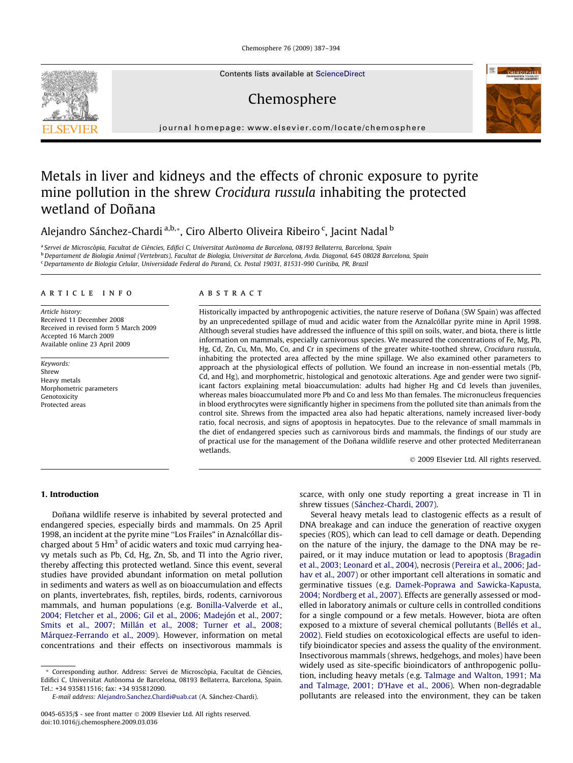Chemosphere 76 (2009) 387–394



Contents lists available at [ScienceDirect](http://www.sciencedirect.com/science/journal/00456535)

# Chemosphere



journal homepage: [www.elsevier.com/locate/chemosphere](http://www.elsevier.com/locate/chemosphere)

# Metals in liver and kidneys and the effects of chronic exposure to pyrite mine pollution in the shrew Crocidura russula inhabiting the protected wetland of Doñana

Alejandro Sánchez-Chardi <sup>a,b,</sup>\*, Ciro Alberto Oliveira Ribeiro <sup>c</sup>, Jacint Nadal <sup>b</sup>

<sup>a</sup> Servei de Microscòpia, Facultat de Ciències, Edifici C, Universitat Autònoma de Barcelona, 08193 Bellaterra, Barcelona, Spain <sup>b</sup> Departament de Biologia Animal (Vertebrats), Facultat de Biologia, Universitat de Barcelona, Avda. Diagonal, 645 08028 Barcelona, Spain <sup>c</sup> Departamento de Biologia Celular, Universidade Federal do Paraná, Cx. Postal 19031, 81531-990 Curitiba, PR, Brazil

### article info

Article history: Received 11 December 2008 Received in revised form 5 March 2009 Accepted 16 March 2009 Available online 23 April 2009

Keywords: Shrew Heavy metals Morphometric parameters Genotoxicity Protected areas

# **ABSTRACT**

Historically impacted by anthropogenic activities, the nature reserve of Doñana (SW Spain) was affected by an unprecedented spillage of mud and acidic water from the Aznalcóllar pyrite mine in April 1998. Although several studies have addressed the influence of this spill on soils, water, and biota, there is little information on mammals, especially carnivorous species. We measured the concentrations of Fe, Mg, Pb, Hg, Cd, Zn, Cu, Mn, Mo, Co, and Cr in specimens of the greater white-toothed shrew, Crocidura russula, inhabiting the protected area affected by the mine spillage. We also examined other parameters to approach at the physiological effects of pollution. We found an increase in non-essential metals (Pb, Cd, and Hg), and morphometric, histological and genotoxic alterations. Age and gender were two significant factors explaining metal bioaccumulation: adults had higher Hg and Cd levels than juveniles, whereas males bioaccumulated more Pb and Co and less Mo than females. The micronucleus frequencies in blood erythrocytes were significantly higher in specimens from the polluted site than animals from the control site. Shrews from the impacted area also had hepatic alterations, namely increased liver-body ratio, focal necrosis, and signs of apoptosis in hepatocytes. Due to the relevance of small mammals in the diet of endangered species such as carnivorous birds and mammals, the findings of our study are of practical use for the management of the Doñana wildlife reserve and other protected Mediterranean wetlands.

- 2009 Elsevier Ltd. All rights reserved.

# 1. Introduction

Doñana wildlife reserve is inhabited by several protected and endangered species, especially birds and mammals. On 25 April 1998, an incident at the pyrite mine ''Los Frailes" in Aznalcóllar discharged about 5  $\text{Hm}^3$  of acidic waters and toxic mud carrying heavy metals such as Pb, Cd, Hg, Zn, Sb, and Tl into the Agrio river, thereby affecting this protected wetland. Since this event, several studies have provided abundant information on metal pollution in sediments and waters as well as on bioaccumulation and effects on plants, invertebrates, fish, reptiles, birds, rodents, carnivorous mammals, and human populations (e.g. [Bonilla-Valverde et al.,](#page-6-0) [2004; Fletcher et al., 2006; Gil et al., 2006; Madejón et al., 2007;](#page-6-0) [Smits et al., 2007; Millán et al., 2008; Turner et al., 2008;](#page-6-0) [Márquez-Ferrando et al., 2009](#page-6-0)). However, information on metal concentrations and their effects on insectivorous mammals is

\* Corresponding author. Address: Servei de Microscòpia, Facultat de Ciències, Edifici C, Universitat Autònoma de Barcelona, 08193 Bellaterra, Barcelona, Spain. Tel.: +34 935811516; fax: +34 935812090.

scarce, with only one study reporting a great increase in Tl in shrew tissues ([Sánchez-Chardi, 2007\)](#page-6-0).

Several heavy metals lead to clastogenic effects as a result of DNA breakage and can induce the generation of reactive oxygen species (ROS), which can lead to cell damage or death. Depending on the nature of the injury, the damage to the DNA may be repaired, or it may induce mutation or lead to apoptosis [\(Bragadin](#page-6-0) [et al., 2003; Leonard et al., 2004](#page-6-0)), necrosis [\(Pereira et al., 2006; Jad](#page-6-0)[hav et al., 2007](#page-6-0)) or other important cell alterations in somatic and germinative tissues (e.g. [Damek-Poprawa and Sawicka-Kapusta,](#page-6-0) [2004; Nordberg et al., 2007\)](#page-6-0). Effects are generally assessed or modelled in laboratory animals or culture cells in controlled conditions for a single compound or a few metals. However, biota are often exposed to a mixture of several chemical pollutants ([Bellés et al.,](#page-6-0) [2002](#page-6-0)). Field studies on ecotoxicological effects are useful to identify bioindicator species and assess the quality of the environment. Insectivorous mammals (shrews, hedgehogs, and moles) have been widely used as site-specific bioindicators of anthropogenic pollution, including heavy metals (e.g. [Talmage and Walton, 1991; Ma](#page-7-0) [and Talmage, 2001; D'Have et al., 2006\)](#page-7-0). When non-degradable pollutants are released into the environment, they can be taken

E-mail address: [Alejandro.Sanchez.Chardi@uab.cat](mailto:Alejandro.Sanchez.Chardi@uab.cat) (A. Sánchez-Chardi).

<sup>0045-6535/\$ -</sup> see front matter © 2009 Elsevier Ltd. All rights reserved. doi:10.1016/j.chemosphere.2009.03.036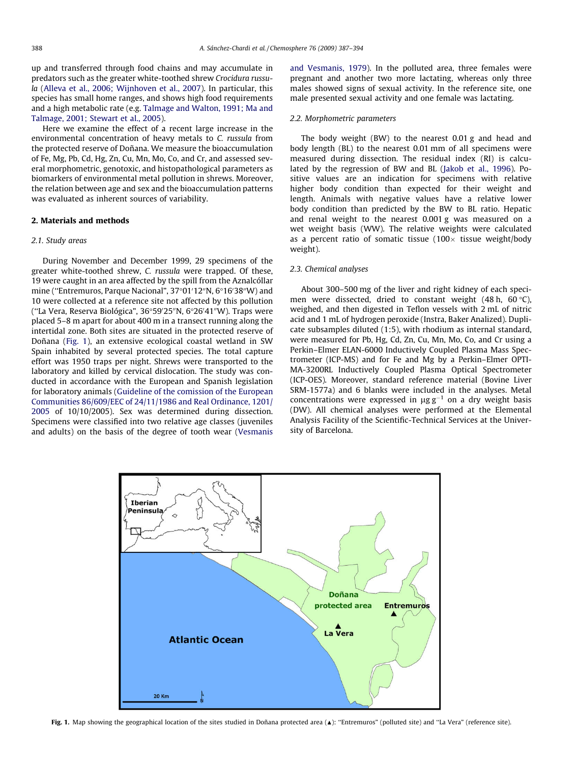up and transferred through food chains and may accumulate in predators such as the greater white-toothed shrew Crocidura russula ([Alleva et al., 2006; Wijnhoven et al., 2007\)](#page-6-0). In particular, this species has small home ranges, and shows high food requirements and a high metabolic rate (e.g. [Talmage and Walton, 1991; Ma and](#page-7-0) [Talmage, 2001; Stewart et al., 2005](#page-7-0)).

Here we examine the effect of a recent large increase in the environmental concentration of heavy metals to C. russula from the protected reserve of Doñana. We measure the bioaccumulation of Fe, Mg, Pb, Cd, Hg, Zn, Cu, Mn, Mo, Co, and Cr, and assessed several morphometric, genotoxic, and histopathological parameters as biomarkers of environmental metal pollution in shrews. Moreover, the relation between age and sex and the bioaccumulation patterns was evaluated as inherent sources of variability.

### 2. Materials and methods

#### 2.1. Study areas

During November and December 1999, 29 specimens of the greater white-toothed shrew, C. russula were trapped. Of these, 19 were caught in an area affected by the spill from the Aznalcóllar mine ("Entremuros, Parque Nacional", 37°01′12″N, 6°16′38″W) and 10 were collected at a reference site not affected by this pollution ("La Vera, Reserva Biológica", 36°59′25″N, 6°26′41″W). Traps were placed 5–8 m apart for about 400 m in a transect running along the intertidal zone. Both sites are situated in the protected reserve of Doñana (Fig. 1), an extensive ecological coastal wetland in SW Spain inhabited by several protected species. The total capture effort was 1950 traps per night. Shrews were transported to the laboratory and killed by cervical dislocation. The study was conducted in accordance with the European and Spanish legislation for laboratory animals ([Guideline of the comission of the European](#page-7-0) [Communities 86/609/EEC of 24/11/1986 and Real Ordinance, 1201/](#page-7-0) [2005](#page-7-0) of 10/10/2005). Sex was determined during dissection. Specimens were classified into two relative age classes (juveniles and adults) on the basis of the degree of tooth wear ([Vesmanis](#page-7-0) [and Vesmanis, 1979](#page-7-0)). In the polluted area, three females were pregnant and another two more lactating, whereas only three males showed signs of sexual activity. In the reference site, one male presented sexual activity and one female was lactating.

#### 2.2. Morphometric parameters

The body weight (BW) to the nearest 0.01 g and head and body length (BL) to the nearest 0.01 mm of all specimens were measured during dissection. The residual index (RI) is calculated by the regression of BW and BL [\(Jakob et al., 1996](#page-6-0)). Positive values are an indication for specimens with relative higher body condition than expected for their weight and length. Animals with negative values have a relative lower body condition than predicted by the BW to BL ratio. Hepatic and renal weight to the nearest 0.001 g was measured on a wet weight basis (WW). The relative weights were calculated as a percent ratio of somatic tissue  $(100 \times$  tissue weight/body weight).

### 2.3. Chemical analyses

About 300–500 mg of the liver and right kidney of each specimen were dissected, dried to constant weight  $(48 \text{ h}, 60 \degree \text{C})$ , weighed, and then digested in Teflon vessels with 2 mL of nitric acid and 1 mL of hydrogen peroxide (Instra, Baker Analized). Duplicate subsamples diluted (1:5), with rhodium as internal standard, were measured for Pb, Hg, Cd, Zn, Cu, Mn, Mo, Co, and Cr using a Perkin–Elmer ELAN-6000 Inductively Coupled Plasma Mass Spectrometer (ICP-MS) and for Fe and Mg by a Perkin–Elmer OPTI-MA-3200RL Inductively Coupled Plasma Optical Spectrometer (ICP-OES). Moreover, standard reference material (Bovine Liver SRM-1577a) and 6 blanks were included in the analyses. Metal concentrations were expressed in  $\mu$ g g<sup>-1</sup> on a dry weight basis (DW). All chemical analyses were performed at the Elemental Analysis Facility of the Scientific-Technical Services at the University of Barcelona.

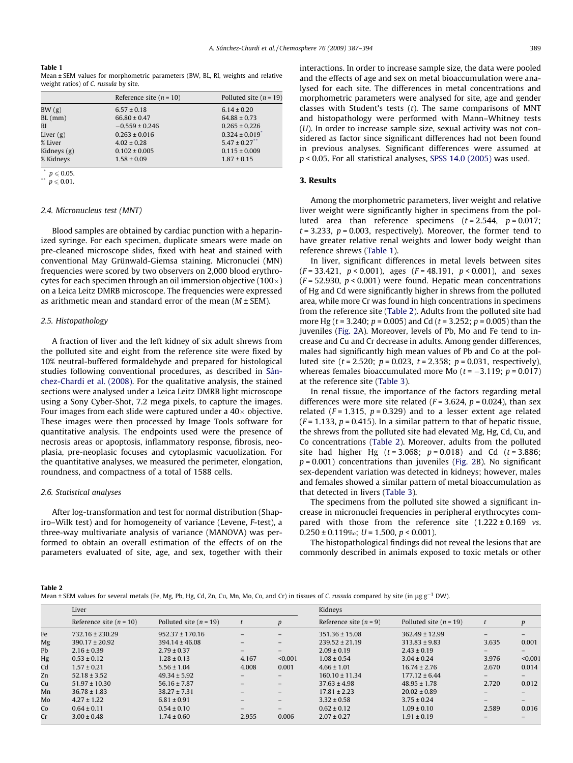#### Table 1

Mean ± SEM values for morphometric parameters (BW, BL, RI, weights and relative weight ratios) of C. russula by site.

|             | Reference site $(n = 10)$ | Polluted site $(n = 19)$ |
|-------------|---------------------------|--------------------------|
| BW(g)       | $6.57 \pm 0.18$           | $6.14 \pm 0.20$          |
| $BL$ (mm)   | $66.80 \pm 0.47$          | $64.88 \pm 0.73$         |
| $R$ I       | $-0.559 \pm 0.246$        | $0.265 \pm 0.226$        |
| Liver $(g)$ | $0.263 \pm 0.016$         | $0.324 \pm 0.019$        |
| % Liver     | $4.02 \pm 0.28$           | $5.47 \pm 0.27$ **       |
| Kidneys (g) | $0.102 \pm 0.005$         | $0.115 \pm 0.009$        |
| % Kidneys   | $1.58 \pm 0.09$           | $1.87 \pm 0.15$          |
|             |                           |                          |

 $p \leqslant 0.05$ .

 $p \leqslant 0.01$ .

#### 2.4. Micronucleus test (MNT)

Blood samples are obtained by cardiac punction with a heparinized syringe. For each specimen, duplicate smears were made on pre-cleaned microscope slides, fixed with heat and stained with conventional May Grünwald-Giemsa staining. Micronuclei (MN) frequencies were scored by two observers on 2,000 blood erythrocytes for each specimen through an oil immersion objective (100 $\times$ ) on a Leica Leitz DMRB microscope. The frequencies were expressed as arithmetic mean and standard error of the mean  $(M \pm SEM)$ .

#### 2.5. Histopathology

A fraction of liver and the left kidney of six adult shrews from the polluted site and eight from the reference site were fixed by 10% neutral-buffered formaldehyde and prepared for histological studies following conventional procedures, as described in [Sán](#page-7-0)[chez-Chardi et al. \(2008\)](#page-7-0). For the qualitative analysis, the stained sections were analysed under a Leica Leitz DMRB light microscope using a Sony Cyber-Shot, 7.2 mega pixels, to capture the images. Four images from each slide were captured under a 40 $\times$  objective. These images were then processed by Image Tools software for quantitative analysis. The endpoints used were the presence of necrosis areas or apoptosis, inflammatory response, fibrosis, neoplasia, pre-neoplasic focuses and cytoplasmic vacuolization. For the quantitative analyses, we measured the perimeter, elongation, roundness, and compactness of a total of 1588 cells.

#### 2.6. Statistical analyses

After log-transformation and test for normal distribution (Shapiro–Wilk test) and for homogeneity of variance (Levene, F-test), a three-way multivariate analysis of variance (MANOVA) was performed to obtain an overall estimation of the effects of on the parameters evaluated of site, age, and sex, together with their interactions. In order to increase sample size, the data were pooled and the effects of age and sex on metal bioaccumulation were analysed for each site. The differences in metal concentrations and morphometric parameters were analysed for site, age and gender classes with Student's tests  $(t)$ . The same comparisons of MNT and histopathology were performed with Mann–Whitney tests (U). In order to increase sample size, sexual activity was not considered as factor since significant differences had not been found in previous analyses. Significant differences were assumed at  $p < 0.05$ . For all statistical analyses, [SPSS 14.0 \(2005\)](#page-7-0) was used.

#### 3. Results

Among the morphometric parameters, liver weight and relative liver weight were significantly higher in specimens from the polluted area than reference specimens  $(t = 2.544, p = 0.017;$  $t = 3.233$ ,  $p = 0.003$ , respectively). Moreover, the former tend to have greater relative renal weights and lower body weight than reference shrews (Table 1).

In liver, significant differences in metal levels between sites  $(F = 33.421, p < 0.001)$ , ages  $(F = 48.191, p < 0.001)$ , and sexes  $(F = 52.930, p < 0.001)$  were found. Hepatic mean concentrations of Hg and Cd were significantly higher in shrews from the polluted area, while more Cr was found in high concentrations in specimens from the reference site (Table 2). Adults from the polluted site had more Hg ( $t = 3.240$ ;  $p = 0.005$ ) and Cd ( $t = 3.252$ ;  $p = 0.005$ ) than the juveniles ([Fig.](#page-3-0) 2A). Moreover, levels of Pb, Mo and Fe tend to increase and Cu and Cr decrease in adults. Among gender differences, males had significantly high mean values of Pb and Co at the polluted site ( $t = 2.520$ ;  $p = 0.023$ ,  $t = 2.358$ ;  $p = 0.031$ , respectively), whereas females bioaccumulated more Mo  $(t = -3.119; p = 0.017)$ at the reference site [\(Table 3](#page-3-0)).

In renal tissue, the importance of the factors regarding metal differences were more site related ( $F = 3.624$ ,  $p = 0.024$ ), than sex related ( $F = 1.315$ ,  $p = 0.329$ ) and to a lesser extent age related  $(F = 1.133, p = 0.415)$ . In a similar pattern to that of hepatic tissue, the shrews from the polluted site had elevated Mg, Hg, Cd, Cu, and Co concentrations (Table 2). Moreover, adults from the polluted site had higher Hg  $(t = 3.068; p = 0.018)$  and Cd  $(t = 3.886;$  $p = 0.001$ ) concentrations than juveniles ([Fig. 2](#page-3-0)B). No significant sex-dependent variation was detected in kidneys; however, males and females showed a similar pattern of metal bioaccumulation as that detected in livers ([Table 3\)](#page-3-0).

The specimens from the polluted site showed a significant increase in micronuclei frequencies in peripheral erythrocytes compared with those from the reference site  $(1.222 \pm 0.169 \text{ vs.})$  $0.250 \pm 0.119\%$ ;  $U = 1.500$ ,  $p < 0.001$ ).

The histopathological findings did not reveal the lesions that are commonly described in animals exposed to toxic metals or other

Table 2

Mean  $\pm$  SEM values for several metals (Fe, Mg, Pb, Hg, Cd, Zn, Cu, Mn, Mo, Co, and Cr) in tissues of C. russula compared by site (in  $\mu$ g g<sup>-1</sup> DW).

|    | Liver                     |                          |                          |                          | Kidneys                  |                          |                   |                          |
|----|---------------------------|--------------------------|--------------------------|--------------------------|--------------------------|--------------------------|-------------------|--------------------------|
|    | Reference site $(n = 10)$ | Polluted site $(n = 19)$ |                          | $\boldsymbol{p}$         | Reference site $(n = 9)$ | Polluted site $(n = 19)$ |                   | p                        |
| Fe | $732.16 \pm 230.29$       | $952.37 \pm 170.16$      |                          |                          | $351.36 \pm 15.08$       | $362.49 \pm 12.99$       |                   |                          |
| Mg | $390.17 \pm 20.92$        | $394.14 \pm 46.08$       |                          |                          | $239.52 \pm 21.19$       | $313.83 \pm 9.83$        | 3.635             | 0.001                    |
| Pb | $2.16 \pm 0.39$           | $2.79 \pm 0.37$          | $\overline{\phantom{0}}$ |                          | $2.09 \pm 0.19$          | $2.43 \pm 0.19$          |                   |                          |
| Hg | $0.53 \pm 0.12$           | $1.28 \pm 0.13$          | 4.167                    | < 0.001                  | $1.08 \pm 0.54$          | $3.04 \pm 0.24$          | 3.976             | < 0.001                  |
| Cd | $1.57 \pm 0.21$           | $5.56 \pm 1.04$          | 4.008                    | 0.001                    | $4.66 \pm 1.01$          | $16.74 \pm 2.76$         | 2.670             | 0.014                    |
| Zn | $52.18 \pm 3.52$          | $49.34 \pm 5.92$         |                          |                          | $160.10 \pm 11.34$       | $177.12 \pm 6.44$        |                   |                          |
| Cu | $51.97 \pm 10.30$         | $56.16 \pm 7.87$         |                          |                          | $37.63 \pm 4.98$         | $48.95 \pm 1.78$         | 2.720             | 0.012                    |
| Mn | $36.78 \pm 1.83$          | $38.27 \pm 7.31$         |                          |                          | $17.81 \pm 2.23$         | $20.02 \pm 0.89$         |                   |                          |
| Mo | $4.27 \pm 1.22$           | $6.81 \pm 0.91$          |                          |                          | $3.32 \pm 0.58$          | $3.75 \pm 0.24$          | $\qquad \qquad -$ | $\overline{\phantom{0}}$ |
| Co | $0.64 \pm 0.11$           | $0.54 \pm 0.10$          | $-$                      | $\overline{\phantom{0}}$ | $0.62 \pm 0.12$          | $1.09 \pm 0.10$          | 2.589             | 0.016                    |
| Cr | $3.00 \pm 0.48$           | $1.74 \pm 0.60$          | 2.955                    | 0.006                    | $2.07 \pm 0.27$          | $1.91 \pm 0.19$          |                   |                          |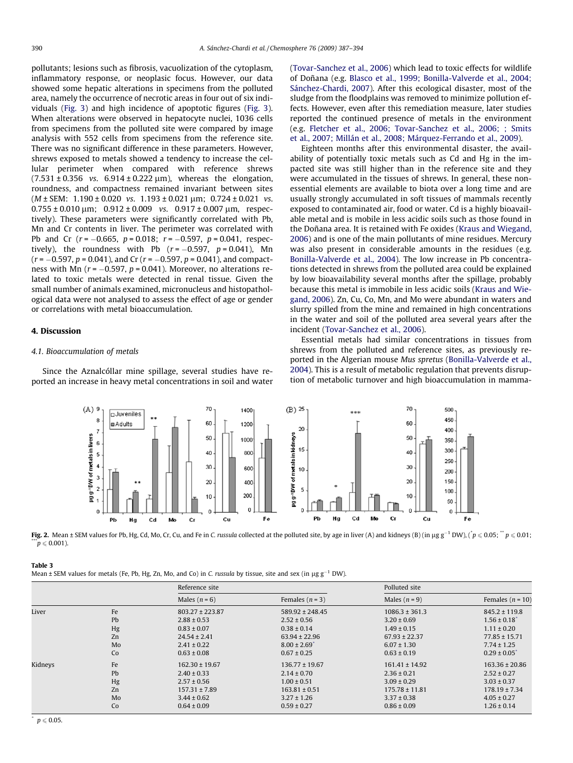<span id="page-3-0"></span>pollutants; lesions such as fibrosis, vacuolization of the cytoplasm, inflammatory response, or neoplasic focus. However, our data showed some hepatic alterations in specimens from the polluted area, namely the occurrence of necrotic areas in four out of six individuals ([Fig. 3](#page-4-0)) and high incidence of apoptotic figures [\(Fig. 3\)](#page-4-0). When alterations were observed in hepatocyte nuclei, 1036 cells from specimens from the polluted site were compared by image analysis with 552 cells from specimens from the reference site. There was no significant difference in these parameters. However, shrews exposed to metals showed a tendency to increase the cellular perimeter when compared with reference shrews  $(7.531 \pm 0.356 \text{ vs. } 6.914 \pm 0.222 \text{ µm})$ , whereas the elongation, roundness, and compactness remained invariant between sites  $(M \pm SEM: 1.190 \pm 0.020$  vs.  $1.193 \pm 0.021$  µm;  $0.724 \pm 0.021$  vs.  $0.755 \pm 0.010$  µm;  $0.912 \pm 0.009$  vs.  $0.917 \pm 0.007$  µm, respectively). These parameters were significantly correlated with Pb, Mn and Cr contents in liver. The perimeter was correlated with Pb and Cr  $(r = -0.665, p = 0.018; r = -0.597, p = 0.041, respec$ tively), the roundness with Pb  $(r = -0.597, p = 0.041)$ , Mn  $(r = -0.597, p = 0.041)$ , and Cr  $(r = -0.597, p = 0.041)$ , and compactness with Mn ( $r = -0.597$ ,  $p = 0.041$ ). Moreover, no alterations related to toxic metals were detected in renal tissue. Given the small number of animals examined, micronucleus and histopathological data were not analysed to assess the effect of age or gender or correlations with metal bioaccumulation.

# 4. Discussion

## 4.1. Bioaccumulation of metals

Since the Aznalcóllar mine spillage, several studies have reported an increase in heavy metal concentrations in soil and water ([Tovar-Sanchez et al., 2006\)](#page-7-0) which lead to toxic effects for wildlife of Doñana (e.g. [Blasco et al., 1999; Bonilla-Valverde et al., 2004;](#page-6-0) [Sánchez-Chardi, 2007](#page-6-0)). After this ecological disaster, most of the sludge from the floodplains was removed to minimize pollution effects. However, even after this remediation measure, later studies reported the continued presence of metals in the environment (e.g. [Fletcher et al., 2006; Tovar-Sanchez et al., 2006; ; Smits](#page-6-0) [et al., 2007; Millán et al., 2008; Márquez-Ferrando et al., 2009\)](#page-6-0).

Eighteen months after this environmental disaster, the availability of potentially toxic metals such as Cd and Hg in the impacted site was still higher than in the reference site and they were accumulated in the tissues of shrews. In general, these nonessential elements are available to biota over a long time and are usually strongly accumulated in soft tissues of mammals recently exposed to contaminated air, food or water. Cd is a highly bioavailable metal and is mobile in less acidic soils such as those found in the Doñana area. It is retained with Fe oxides [\(Kraus and Wiegand,](#page-6-0) [2006\)](#page-6-0) and is one of the main pollutants of mine residues. Mercury was also present in considerable amounts in the residues (e.g. [Bonilla-Valverde et al., 2004](#page-6-0)). The low increase in Pb concentrations detected in shrews from the polluted area could be explained by low bioavailability several months after the spillage, probably because this metal is immobile in less acidic soils ([Kraus and Wie](#page-6-0)[gand, 2006](#page-6-0)). Zn, Cu, Co, Mn, and Mo were abundant in waters and slurry spilled from the mine and remained in high concentrations in the water and soil of the polluted area several years after the incident [\(Tovar-Sanchez et al., 2006](#page-7-0)).

Essential metals had similar concentrations in tissues from shrews from the polluted and reference sites, as previously reported in the Algerian mouse Mus spretus ([Bonilla-Valverde et al.,](#page-6-0) [2004\)](#page-6-0). This is a result of metabolic regulation that prevents disruption of metabolic turnover and high bioaccumulation in mamma-



**Fig. 2.** Mean ± SEM values for Pb, Hg, Cd, Mo, Cr, Cu, and Fe in C. russula collected at the polluted site, by age in liver (A) and kidneys (B) (in µg g<sup>-1</sup> DW), ( $p  $\leqslant 0.05;$  "  $p$   $\leqslant 0.01;$$  $\mathring{\phantom{a}} p \leqslant 0.001$  ).

|--|--|

Mean  $\pm$  SEM values for metals (Fe, Pb, Hg, Zn, Mo, and Co) in C. russula by tissue, site and sex (in  $\mu$ g g<sup>-1</sup> DW).

|         |    | Reference site      |                     | Polluted site      |                              |
|---------|----|---------------------|---------------------|--------------------|------------------------------|
|         |    | Males $(n=6)$       | Females $(n = 3)$   | Males $(n=9)$      | Females $(n = 10)$           |
| Liver   | Fe | $803.27 \pm 223.87$ | $589.92 \pm 248.45$ | $1086.3 \pm 361.3$ | $845.2 \pm 119.8$            |
|         | Pb | $2.88 \pm 0.53$     | $2.52 \pm 0.56$     | $3.20 \pm 0.69$    | $1.56 \pm 0.18$ <sup>*</sup> |
|         | Hg | $0.83 \pm 0.07$     | $0.38 \pm 0.14$     | $1.49 \pm 0.15$    | $1.11 \pm 0.20$              |
|         | Zn | $24.54 \pm 2.41$    | $63.94 \pm 22.96$   | $67.93 \pm 22.37$  | $77.85 \pm 15.71$            |
|         | Mo | $2.41 \pm 0.22$     | $8.00 \pm 2.69$     | $6.07 \pm 1.30$    | $7.74 \pm 1.25$              |
|         | Co | $0.63 \pm 0.08$     | $0.67 \pm 0.25$     | $0.63 \pm 0.19$    | $0.29 \pm 0.05$              |
| Kidneys | Fe | $162.30 \pm 19.67$  | $136.77 \pm 19.67$  | $161.41 \pm 14.92$ | $163.36 \pm 20.86$           |
|         | Pb | $2.40 \pm 0.33$     | $2.14 \pm 0.70$     | $2.36 \pm 0.21$    | $2.52 \pm 0.27$              |
|         | Hg | $2.57 \pm 0.56$     | $1.00 \pm 0.51$     | $3.09 \pm 0.29$    | $3.03 \pm 0.37$              |
|         | Zn | $157.31 \pm 7.89$   | $163.81 \pm 0.51$   | $175.78 \pm 11.81$ | $178.19 \pm 7.34$            |
|         | Mo | $3.44 \pm 0.62$     | $3.27 \pm 1.26$     | $3.37 \pm 0.38$    | $4.05 \pm 0.27$              |
|         | Co | $0.64 \pm 0.09$     | $0.59 \pm 0.27$     | $0.86 \pm 0.09$    | $1.26 \pm 0.14$              |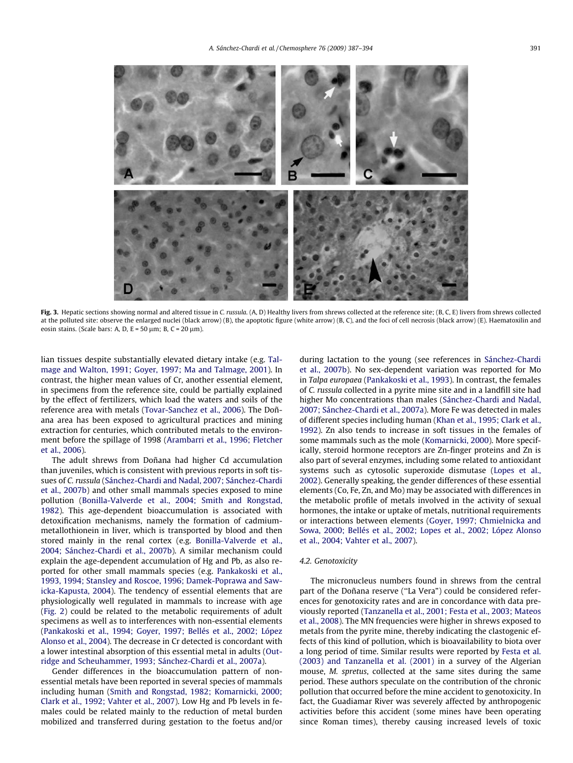<span id="page-4-0"></span>

Fig. 3. Hepatic sections showing normal and altered tissue in C. russula. (A, D) Healthy livers from shrews collected at the reference site; (B, C, E) livers from shrews collected at the polluted site: observe the enlarged nuclei (black arrow) (B), the apoptotic figure (white arrow) (B, C), and the foci of cell necrosis (black arrow) (E). Haematoxilin and eosin stains. (Scale bars: A, D, E = 50  $\mu$ m; B, C = 20  $\mu$ m).

lian tissues despite substantially elevated dietary intake (e.g. [Tal](#page-7-0)[mage and Walton, 1991; Goyer, 1997; Ma and Talmage, 2001](#page-7-0)). In contrast, the higher mean values of Cr, another essential element, in specimens from the reference site, could be partially explained by the effect of fertilizers, which load the waters and soils of the reference area with metals ([Tovar-Sanchez et al., 2006\)](#page-7-0). The Doñana area has been exposed to agricultural practices and mining extraction for centuries, which contributed metals to the environment before the spillage of 1998 ([Arambarri et al., 1996; Fletcher](#page-6-0) [et al., 2006\)](#page-6-0).

The adult shrews from Doñana had higher Cd accumulation than juveniles, which is consistent with previous reports in soft tissues of C. russula [\(Sánchez-Chardi and Nadal, 2007; Sánchez-Chardi](#page-7-0) [et al., 2007b\)](#page-7-0) and other small mammals species exposed to mine pollution [\(Bonilla-Valverde et al., 2004; Smith and Rongstad,](#page-6-0) [1982\)](#page-6-0). This age-dependent bioaccumulation is associated with detoxification mechanisms, namely the formation of cadmiummetallothionein in liver, which is transported by blood and then stored mainly in the renal cortex (e.g. [Bonilla-Valverde et al.,](#page-6-0) [2004; Sánchez-Chardi et al., 2007b\)](#page-6-0). A similar mechanism could explain the age-dependent accumulation of Hg and Pb, as also reported for other small mammals species (e.g. [Pankakoski et al.,](#page-6-0) [1993, 1994; Stansley and Roscoe, 1996; Damek-Poprawa and Saw](#page-6-0)[icka-Kapusta, 2004](#page-6-0)). The tendency of essential elements that are physiologically well regulated in mammals to increase with age ([Fig. 2\)](#page-3-0) could be related to the metabolic requirements of adult specimens as well as to interferences with non-essential elements ([Pankakoski et al., 1994; Goyer, 1997; Bellés et al., 2002; López](#page-6-0) [Alonso et al., 2004](#page-6-0)). The decrease in Cr detected is concordant with a lower intestinal absorption of this essential metal in adults [\(Out](#page-6-0)[ridge and Scheuhammer, 1993; Sánchez-Chardi et al., 2007a](#page-6-0)).

Gender differences in the bioaccumulation pattern of nonessential metals have been reported in several species of mammals including human ([Smith and Rongstad, 1982; Komarnicki, 2000;](#page-7-0) [Clark et al., 1992; Vahter et al., 2007\)](#page-7-0). Low Hg and Pb levels in females could be related mainly to the reduction of metal burden mobilized and transferred during gestation to the foetus and/or during lactation to the young (see references in [Sánchez-Chardi](#page-7-0) [et al., 2007b\)](#page-7-0). No sex-dependent variation was reported for Mo in Talpa europaea [\(Pankakoski et al., 1993](#page-6-0)). In contrast, the females of C. russula collected in a pyrite mine site and in a landfill site had higher Mo concentrations than males [\(Sánchez-Chardi and Nadal,](#page-7-0) [2007; Sánchez-Chardi et al., 2007a\)](#page-7-0). More Fe was detected in males of different species including human ([Khan et al., 1995; Clark et al.,](#page-6-0) [1992\)](#page-6-0). Zn also tends to increase in soft tissues in the females of some mammals such as the mole ([Komarnicki, 2000](#page-6-0)). More specifically, steroid hormone receptors are Zn-finger proteins and Zn is also part of several enzymes, including some related to antioxidant systems such as cytosolic superoxide dismutase [\(Lopes et al.,](#page-6-0) [2002](#page-6-0)). Generally speaking, the gender differences of these essential elements (Co, Fe, Zn, and Mo) may be associated with differences in the metabolic profile of metals involved in the activity of sexual hormones, the intake or uptake of metals, nutritional requirements or interactions between elements [\(Goyer, 1997; Chmielnicka and](#page-6-0) [Sowa, 2000; Bellés et al., 2002; Lopes et al., 2002; López Alonso](#page-6-0) [et al., 2004; Vahter et al., 2007](#page-6-0)).

#### 4.2. Genotoxicity

The micronucleus numbers found in shrews from the central part of the Doñana reserve (''La Vera") could be considered references for genotoxicity rates and are in concordance with data previously reported [\(Tanzanella et al., 2001; Festa et al., 2003; Mateos](#page-7-0) [et al., 2008](#page-7-0)). The MN frequencies were higher in shrews exposed to metals from the pyrite mine, thereby indicating the clastogenic effects of this kind of pollution, which is bioavailability to biota over a long period of time. Similar results were reported by [Festa et al.](#page-6-0) [\(2003\) and Tanzanella et al. \(2001\)](#page-6-0) in a survey of the Algerian mouse, M. spretus, collected at the same sites during the same period. These authors speculate on the contribution of the chronic pollution that occurred before the mine accident to genotoxicity. In fact, the Guadiamar River was severely affected by anthropogenic activities before this accident (some mines have been operating since Roman times), thereby causing increased levels of toxic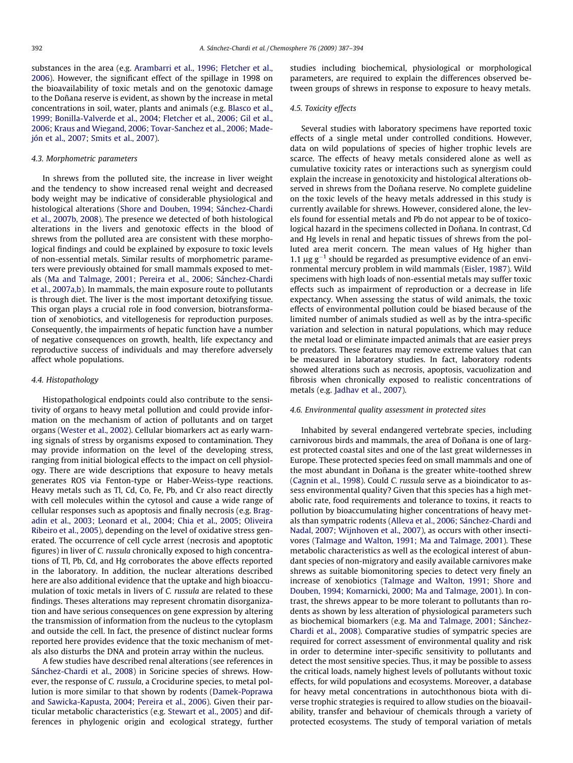substances in the area (e.g. [Arambarri et al., 1996; Fletcher et al.,](#page-6-0) [2006\)](#page-6-0). However, the significant effect of the spillage in 1998 on the bioavailability of toxic metals and on the genotoxic damage to the Doñana reserve is evident, as shown by the increase in metal concentrations in soil, water, plants and animals (e.g. [Blasco et al.,](#page-6-0) [1999; Bonilla-Valverde et al., 2004; Fletcher et al., 2006; Gil et al.,](#page-6-0) [2006; Kraus and Wiegand, 2006; Tovar-Sanchez et al., 2006; Made](#page-6-0)[jón et al., 2007; Smits et al., 2007\)](#page-6-0).

#### 4.3. Morphometric parameters

In shrews from the polluted site, the increase in liver weight and the tendency to show increased renal weight and decreased body weight may be indicative of considerable physiological and histological alterations [\(Shore and Douben, 1994; Sánchez-Chardi](#page-7-0) [et al., 2007b, 2008](#page-7-0)). The presence we detected of both histological alterations in the livers and genotoxic effects in the blood of shrews from the polluted area are consistent with these morphological findings and could be explained by exposure to toxic levels of non-essential metals. Similar results of morphometric parameters were previously obtained for small mammals exposed to metals ([Ma and Talmage, 2001; Pereira et al., 2006; Sánchez-Chardi](#page-6-0) [et al., 2007a,b](#page-6-0)). In mammals, the main exposure route to pollutants is through diet. The liver is the most important detoxifying tissue. This organ plays a crucial role in food conversion, biotransformation of xenobiotics, and vitellogenesis for reproduction purposes. Consequently, the impairments of hepatic function have a number of negative consequences on growth, health, life expectancy and reproductive success of individuals and may therefore adversely affect whole populations.

#### 4.4. Histopathology

Histopathological endpoints could also contribute to the sensitivity of organs to heavy metal pollution and could provide information on the mechanism of action of pollutants and on target organs [\(Wester et al., 2002](#page-7-0)). Cellular biomarkers act as early warning signals of stress by organisms exposed to contamination. They may provide information on the level of the developing stress, ranging from initial biological effects to the impact on cell physiology. There are wide descriptions that exposure to heavy metals generates ROS via Fenton-type or Haber-Weiss-type reactions. Heavy metals such as Tl, Cd, Co, Fe, Pb, and Cr also react directly with cell molecules within the cytosol and cause a wide range of cellular responses such as apoptosis and finally necrosis (e.g. [Brag](#page-6-0)[adin et al., 2003; Leonard et al., 2004; Chia et al., 2005; Oliveira](#page-6-0) [Ribeiro et al., 2005](#page-6-0)), depending on the level of oxidative stress generated. The occurrence of cell cycle arrest (necrosis and apoptotic figures) in liver of C. russula chronically exposed to high concentrations of Tl, Pb, Cd, and Hg corroborates the above effects reported in the laboratory. In addition, the nuclear alterations described here are also additional evidence that the uptake and high bioaccumulation of toxic metals in livers of C. russula are related to these findings. Theses alterations may represent chromatin disorganization and have serious consequences on gene expression by altering the transmission of information from the nucleus to the cytoplasm and outside the cell. In fact, the presence of distinct nuclear forms reported here provides evidence that the toxic mechanism of metals also disturbs the DNA and protein array within the nucleus.

A few studies have described renal alterations (see references in [Sánchez-Chardi et al., 2008](#page-7-0)) in Soricine species of shrews. However, the response of C. russula, a Crocidurine species, to metal pollution is more similar to that shown by rodents [\(Damek-Poprawa](#page-6-0) [and Sawicka-Kapusta, 2004; Pereira et al., 2006\)](#page-6-0). Given their particular metabolic characteristics (e.g. [Stewart et al., 2005](#page-7-0)) and differences in phylogenic origin and ecological strategy, further studies including biochemical, physiological or morphological parameters, are required to explain the differences observed between groups of shrews in response to exposure to heavy metals.

#### 4.5. Toxicity effects

Several studies with laboratory specimens have reported toxic effects of a single metal under controlled conditions. However, data on wild populations of species of higher trophic levels are scarce. The effects of heavy metals considered alone as well as cumulative toxicity rates or interactions such as synergism could explain the increase in genotoxicity and histological alterations observed in shrews from the Doñana reserve. No complete guideline on the toxic levels of the heavy metals addressed in this study is currently available for shrews. However, considered alone, the levels found for essential metals and Pb do not appear to be of toxicological hazard in the specimens collected in Doñana. In contrast, Cd and Hg levels in renal and hepatic tissues of shrews from the polluted area merit concern. The mean values of Hg higher than 1.1  $\mu$ g g<sup>-1</sup> should be regarded as presumptive evidence of an environmental mercury problem in wild mammals [\(Eisler, 1987](#page-6-0)). Wild specimens with high loads of non-essential metals may suffer toxic effects such as impairment of reproduction or a decrease in life expectancy. When assessing the status of wild animals, the toxic effects of environmental pollution could be biased because of the limited number of animals studied as well as by the intra-specific variation and selection in natural populations, which may reduce the metal load or eliminate impacted animals that are easier preys to predators. These features may remove extreme values that can be measured in laboratory studies. In fact, laboratory rodents showed alterations such as necrosis, apoptosis, vacuolization and fibrosis when chronically exposed to realistic concentrations of metals (e.g. [Jadhav et al., 2007\)](#page-6-0).

#### 4.6. Environmental quality assessment in protected sites

Inhabited by several endangered vertebrate species, including carnivorous birds and mammals, the area of Doñana is one of largest protected coastal sites and one of the last great wildernesses in Europe. These protected species feed on small mammals and one of the most abundant in Doñana is the greater white-toothed shrew ([Cagnin et al., 1998\)](#page-6-0). Could C. russula serve as a bioindicator to assess environmental quality? Given that this species has a high metabolic rate, food requirements and tolerance to toxins, it reacts to pollution by bioaccumulating higher concentrations of heavy metals than sympatric rodents ([Alleva et al., 2006; Sánchez-Chardi and](#page-6-0) [Nadal, 2007; Wijnhoven et al., 2007\)](#page-6-0), as occurs with other insectivores ([Talmage and Walton, 1991; Ma and Talmage, 2001](#page-7-0)). These metabolic characteristics as well as the ecological interest of abundant species of non-migratory and easily available carnivores make shrews as suitable biomonitoring species to detect very finely an increase of xenobiotics ([Talmage and Walton, 1991; Shore and](#page-7-0) [Douben, 1994; Komarnicki, 2000; Ma and Talmage, 2001](#page-7-0)). In contrast, the shrews appear to be more tolerant to pollutants than rodents as shown by less alteration of physiological parameters such as biochemical biomarkers (e.g. [Ma and Talmage, 2001; Sánchez-](#page-6-0)[Chardi et al., 2008\)](#page-6-0). Comparative studies of sympatric species are required for correct assessment of environmental quality and risk in order to determine inter-specific sensitivity to pollutants and detect the most sensitive species. Thus, it may be possible to assess the critical loads, namely highest levels of pollutants without toxic effects, for wild populations and ecosystems. Moreover, a database for heavy metal concentrations in autochthonous biota with diverse trophic strategies is required to allow studies on the bioavailability, transfer and behaviour of chemicals through a variety of protected ecosystems. The study of temporal variation of metals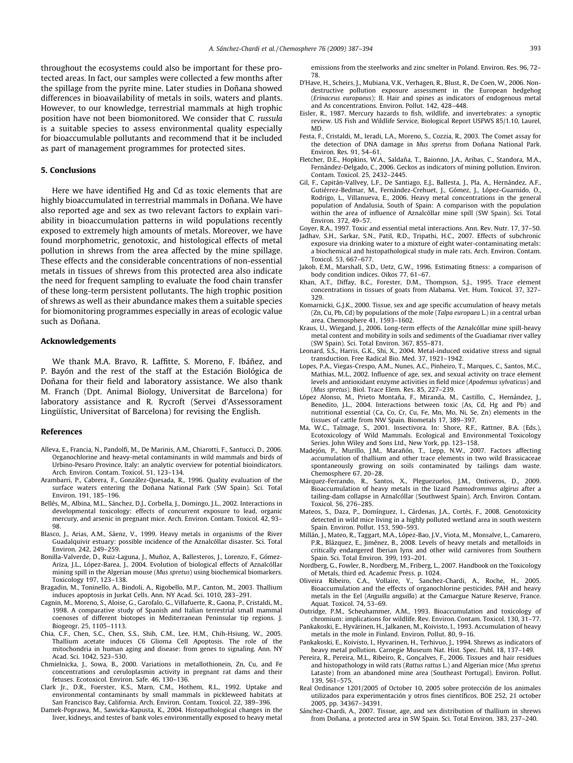<span id="page-6-0"></span>throughout the ecosystems could also be important for these protected areas. In fact, our samples were collected a few months after the spillage from the pyrite mine. Later studies in Doñana showed differences in bioavailability of metals in soils, waters and plants. However, to our knowledge, terrestrial mammals at high trophic position have not been biomonitored. We consider that C. russula is a suitable species to assess environmental quality especially for bioaccumulable pollutants and recommend that it be included as part of management programmes for protected sites.

#### 5. Conclusions

Here we have identified Hg and Cd as toxic elements that are highly bioaccumulated in terrestrial mammals in Doñana. We have also reported age and sex as two relevant factors to explain variability in bioaccumulation patterns in wild populations recently exposed to extremely high amounts of metals. Moreover, we have found morphometric, genotoxic, and histological effects of metal pollution in shrews from the area affected by the mine spillage. These effects and the considerable concentrations of non-essential metals in tissues of shrews from this protected area also indicate the need for frequent sampling to evaluate the food chain transfer of these long-term persistent pollutants. The high trophic position of shrews as well as their abundance makes them a suitable species for biomonitoring programmes especially in areas of ecologic value such as Doñana.

#### Acknowledgements

We thank M.A. Bravo, R. Laffitte, S. Moreno, F. Ibáñez, and P. Bayón and the rest of the staff at the Estación Biológica de Doñana for their field and laboratory assistance. We also thank M. Franch (Dpt. Animal Biology, Universitat de Barcelona) for laboratory assistance and R. Rycroft (Servei d'Assessorament Lingüístic, Universitat of Barcelona) for revising the English.

#### References

- Alleva, E., Francia, N., Pandolfi, M., De Marinis, A.M., Chiarotti, F., Santucci, D., 2006. Organochlorine and heavy-metal contaminants in wild mammals and birds of Urbino-Pesaro Province, Italy: an analytic overview for potential bioindicators. Arch. Environ. Contam. Toxicol. 51, 123–134.
- Arambarri, P., Cabrera, F., González-Quesada, R., 1996. Quality evaluation of the surface waters entering the Doñana National Park (SW Spain). Sci. Total Environ. 191, 185–196.
- Bellés, M., Albina, M.L., Sánchez, D.J., Corbella, J., Domingo, J.L., 2002. Interactions in developmental toxicology: effects of concurrent exposure to lead, organic mercury, and arsenic in pregnant mice. Arch. Environ. Contam. Toxicol. 42, 93– 98.
- Blasco, J., Arias, A.M., Sáenz, V., 1999. Heavy metals in organisms of the River Guadalquivir estuary: possible incidence of the Aznalcóllar disaster. Sci. Total Environ. 242, 249–259.
- Bonilla-Valverde, D., Ruiz-Laguna, J., Muñoz, A., Ballesteros, J., Lorenzo, F., Gómez-Ariza, J.L., López-Barea, J., 2004. Evolution of biological effects of Aznalcóllar mining spill in the Algerian mouse (Mus spretus) using biochemical biomarkers. Toxicology 197, 123–138.
- Bragadin, M., Toninello, A., Bindoli, A., Rigobello, M.P., Canton, M., 2003. Thallium induces apoptosis in Jurkat Cells. Ann. NY Acad. Sci. 1010, 283–291.
- Cagnin, M., Moreno, S., Aloise, G., Garofalo, G., Villafuerte, R., Gaona, P., Cristaldi, M., 1998. A comparative study of Spanish and Italian terrestrial small mammal coenoses of different biotopes in Mediterranean Peninsular tip regions. J. Biogeogr. 25, 1105–1113.
- Chia, C.F., Chen, S.C., Chen, S.S., Shih, C.M., Lee, H.M., Chih-Hsiung, W., 2005. Thallium acetate induces C6 Glioma Cell Apoptosis. The role of the mitochondria in human aging and disease: from genes to signaling. Ann. NY Acad. Sci. 1042, 523–530.
- Chmielnicka, J., Sowa, B., 2000. Variations in metallothionein, Zn, Cu, and Fe concentrations and ceruloplasmin activity in pregnant rat dams and their fetuses. Ecotoxicol. Environ. Safe. 46, 130–136.
- Clark Jr., D.R., Foerster, K.S., Marn, C.M., Hothem, R.L., 1992. Uptake and environmental contaminants by small mammals in pickleweed habitats at San Francisco Bay, California. Arch. Environ. Contam. Toxicol. 22, 389–396.
- Damek-Poprawa, M., Sawicka-Kapusta, K., 2004. Histopathological changes in the liver, kidneys, and testes of bank voles environmentally exposed to heavy metal

emissions from the steelworks and zinc smelter in Poland. Environ. Res. 96, 72– 78.

- D'Have, H., Scheirs, J., Mubiana, V.K., Verhagen, R., Blust, R., De Coen, W., 2006. Nondestructive pollution exposure assessment in the European hedgehog (Erinaceus europaeus): II. Hair and spines as indicators of endogenous metal and As concentrations. Environ. Pollut. 142, 428–448.
- Eisler, R., 1987. Mercury hazards to fish, wildlife, and invertebrates: a synoptic review. US Fish and Wildlife Service, Biological Report USFWS 85/1.10, Laurel, MD.
- Festa, F., Cristaldi, M., Ieradi, L.A., Moreno, S., Cozzia, R., 2003. The Comet assay for the detection of DNA damage in Mus spretus from Doñana National Park. Environ. Res. 91, 54–61.
- Fletcher, D.E., Hopkins, W.A., Saldaña, T., Baionno, J.A., Aribas, C., Standora, M.A., Fernández-Delgado, C., 2006. Geckos as indicators of mining pollution. Environ. Contam. Toxicol. 25, 2432–2445.
- Gil, F., Capitán-Vallvey, L.F., De Santiago, E.J., Ballesta, J., Pla, A., Hernández, A.F., Gutiérrez-Bedmar, M., Fernández-Crehuet, J., Gómez, J., López-Guarnido, O., Rodrigo, L., Villanueva, E., 2006. Heavy metal concentrations in the general population of Andalusia, South of Spain: A comparison with the population within the area of influence of Aznalcóllar mine spill (SW Spain). Sci. Total Environ. 372, 49–57.
- Goyer, R.A., 1997. Toxic and essential metal interactions. Ann. Rev. Nutr. 17, 37–50.
- Jadhav, S.H., Sarkar, S.N., Patil, R.D., Tripathi, H.C., 2007. Effects of subchronic exposure via drinking water to a mixture of eight water-contaminating metals: a biochemical and histopathological study in male rats. Arch. Environ. Contam. Toxicol. 53, 667–677.
- Jakob, E.M., Marshall, S.D., Uetz, G.W., 1996. Estimating fitness: a comparison of body condition indices. Oikos 77, 61–67.
- Khan, A.T., Diffay, B.C., Forester, D.M., Thompson, S.J., 1995. Trace element concentrations in tissues of goats from Alabama. Vet. Hum. Toxicol. 37, 327– 329.
- Komarnicki, G.J.K., 2000. Tissue, sex and age specific accumulation of heavy metals (Zn, Cu, Pb, Cd) by populations of the mole (Talpa europaea L.) in a central urban area. Chemosphere 41, 1593–1602.
- Kraus, U., Wiegand, J., 2006. Long-term effects of the Aznalcóllar mine spill-heavy metal content and mobility in soils and sediments of the Guadiamar river valley (SW Spain). Sci. Total Environ. 367, 855–871.
- Leonard, S.S., Harris, G.K., Shi, X., 2004. Metal-induced oxidative stress and signal transduction. Free Radical Bio. Med. 37, 1921–1942.
- Lopes, P.A., Viegas-Crespo, A.M., Nunes, A.C., Pinheiro, T., Marques, C., Santos, M.C., Mathias, M.L., 2002. Influence of age, sex, and sexual activity on trace element levels and antioxidant enzyme activities in field mice (Apodemus sylvaticus) and (Mus spretus). Biol. Trace Elem. Res. 85, 227–239.
- López Alonso, M., Prieto Montaña, F., Miranda, M., Castillo, C., Hernández, J., Benedito, J.L., 2004. Interactions between toxic (As, Cd, Hg and Pb) and nutritional essential (Ca, Co, Cr, Cu, Fe, Mn, Mo, Ni, Se, Zn) elements in the tissues of cattle from NW Spain. Biometals 17, 389–397.
- Ma, W.C., Talmage, S., 2001. Insectivora. In: Shore, R.F., Rattner, B.A. (Eds.), Ecotoxicology of Wild Mammals. Ecological and Environmental Toxicology Series. John Wiley and Sons Ltd., New York, pp. 123–158.
- Madejón, P., Murillo, J.M., Marañón, T., Lepp, N.W., 2007. Factors affecting accumulation of thallium and other trace elements in two wild Brassicaceae spontaneously growing on soils contaminated by tailings dam waste. Chemosphere 67, 20–28.
- Márquez-Ferrando, R., Santos, X., Pleguezuelos, J.M., Ontiveros, D., 2009. Bioaccumulation of heavy metals in the lizard Psamodrommus algirus after a tailing-dam collapse in Aznalcóllar (Southwest Spain). Arch. Environ. Contam. Toxicol. 56, 276–285.
- Mateos, S., Daza, P., Domínguez, I., Cárdenas, J.A., Cortés, F., 2008. Genotoxicity detected in wild mice living in a highly polluted wetland area in south western Spain. Environ. Pollut. 153, 590–593.
- Millán, J., Mateo, R., Taggart, M.A., López-Bao, J.V., Viota, M., Monsalve, L., Camarero, P.R., Blázquez, E., Jiménez, B., 2008. Levels of heavy metals and metalloids in critically endangered Iberian lynx and other wild carnivores from Southern Spain. Sci. Total Environ. 399, 193–201.
- Nordberg, G., Fowler, B., Nordberg, M., Friberg, L., 2007. Handbook on the Toxicology of Metals, third ed. Academic Press. p. 1024.
- Oliveira Ribeiro, C.A., Vollaire, Y., Sanchez-Chardi, A., Roche, H., 2005. Bioaccumulation and the effects of organochlorine pesticides, PAH and heavy metals in the Eel (Anguilla anguilla) at the Camargue Nature Reserve, France. Aquat. Toxicol. 74, 53–69.
- Outridge, P.M., Scheuhammer, A.M., 1993. Bioaccumulation and toxicology of chromium: implications for wildlife. Rev. Environ. Contam. Toxicol. 130, 31–77.
- Pankakoski, E., Hyvärinen, H., Jalkanen, M., Koivisto, I., 1993. Accumulation of heavy metals in the mole in Finland. Environ. Pollut. 80, 9–16.
- Pankakoski, E., Koivisto, I., Hyvarinen, H., Terhivuo, J., 1994. Shrews as indicators of heavy metal pollution. Carnegie Museum Nat. Hist. Spec. Publ. 18, 137–149.
- Pereira, R., Pereira, M.L., Ribeiro, R., Gonçalves, F., 2006. Tissues and hair residues and histopathology in wild rats (Rattus rattus L.) and Algerian mice (Mus spretus Lataste) from an abandoned mine area (Southeast Portugal). Environ. Pollut. 139, 561–575.
- Real Ordinance 1201/2005 of October 10, 2005 sobre protección de los animales utilizados para experimentación y otros fines científicos. BOE 252, 21 october 2005, pp. 34367–34391.
- Sánchez-Chardi, A., 2007. Tissue, age, and sex distribution of thallium in shrews from Doñana, a protected area in SW Spain. Sci. Total Environ. 383, 237–240.